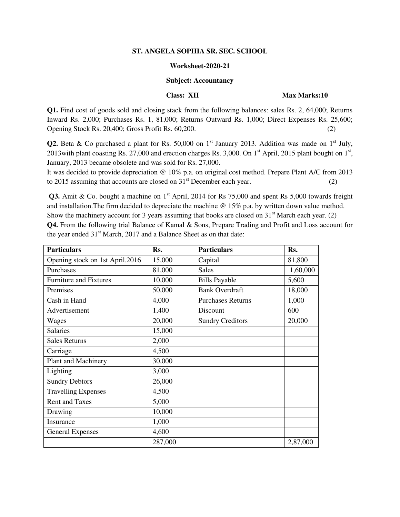## **ST. ANGELA SOPHIA SR. SEC. SCHOOL**

## **Worksheet-2020-21**

# **Subject: Accountancy**

**Class: XII Max Marks:10** 

**Q1.** Find cost of goods sold and closing stack from the following balances: sales Rs. 2, 64,000; Returns Inward Rs. 2,000; Purchases Rs. 1, 81,000; Returns Outward Rs. 1,000; Direct Expenses Rs. 25,600; Opening Stock Rs. 20,400; Gross Profit Rs. 60,200.(2)

**Q2.** Beta & Co purchased a plant for Rs. 50,000 on  $1<sup>st</sup>$  January 2013. Addition was made on  $1<sup>st</sup>$  July, 2013 with plant coasting Rs. 27,000 and erection charges Rs. 3,000. On  $1<sup>st</sup>$  April, 2015 plant bought on  $1<sup>st</sup>$ , January, 2013 became obsolete and was sold for Rs. 27,000.

It was decided to provide depreciation @ 10% p.a. on original cost method. Prepare Plant A/C from 2013 to 2015 assuming that accounts are closed on 31<sup>st</sup> December each year.  $(2)$ 

**Q3.** Amit & Co. bought a machine on 1<sup>st</sup> April, 2014 for Rs 75,000 and spent Rs 5,000 towards freight and installation.The firm decided to depreciate the machine @ 15% p.a. by written down value method. Show the machinery account for 3 years assuming that books are closed on  $31<sup>st</sup>$  March each year. (2) **Q4.** From the following trial Balance of Kamal & Sons, Prepare Trading and Profit and Loss account for the year ended 31<sup>st</sup> March, 2017 and a Balance Sheet as on that date:

| <b>Particulars</b>               | Rs.     | <b>Particulars</b>       | Rs.      |
|----------------------------------|---------|--------------------------|----------|
| Opening stock on 1st April, 2016 | 15,000  | Capital                  | 81,800   |
| Purchases                        | 81,000  | <b>Sales</b>             | 1,60,000 |
| Furniture and Fixtures           | 10,000  | <b>Bills Payable</b>     | 5,600    |
| Premises                         | 50,000  | <b>Bank Overdraft</b>    | 18,000   |
| Cash in Hand                     | 4,000   | <b>Purchases Returns</b> | 1,000    |
| Advertisement                    | 1,400   | Discount                 | 600      |
| Wages                            | 20,000  | <b>Sundry Creditors</b>  | 20,000   |
| <b>Salaries</b>                  | 15,000  |                          |          |
| <b>Sales Returns</b>             | 2,000   |                          |          |
| Carriage                         | 4,500   |                          |          |
| Plant and Machinery              | 30,000  |                          |          |
| Lighting                         | 3,000   |                          |          |
| <b>Sundry Debtors</b>            | 26,000  |                          |          |
| <b>Travelling Expenses</b>       | 4,500   |                          |          |
| <b>Rent and Taxes</b>            | 5,000   |                          |          |
| Drawing                          | 10,000  |                          |          |
| Insurance                        | 1,000   |                          |          |
| <b>General Expenses</b>          | 4,600   |                          |          |
|                                  | 287,000 |                          | 2,87,000 |